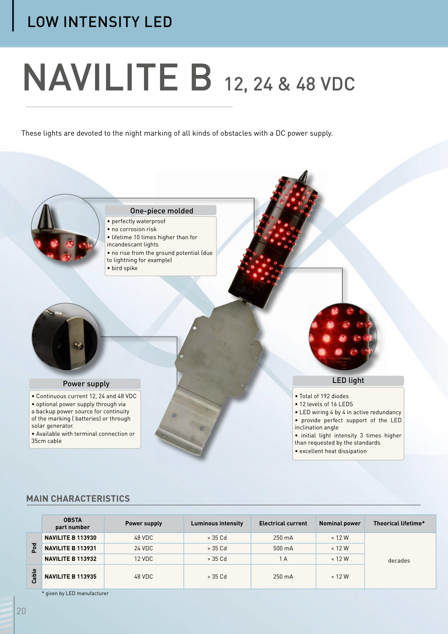# LOW INTENSITY LED

# NAVILITE B 12, 24 & 48 VDC

These lights are devoted to the night marking of all kinds of obstacles with a DC power supply.



## **MAIN CHARACTERISTICS**

|                              | <b>OBSTA</b><br>part number | Power supply | <b>Luminous intensity</b> | <b>Electrical current</b> | <b>Nominal power</b> | Theorical lifetime* |
|------------------------------|-----------------------------|--------------|---------------------------|---------------------------|----------------------|---------------------|
| Pod                          | NAVILITE B 113930           | 48 VDC       | > 35 Cd                   | 250 mA                    | < 12 W               |                     |
|                              | <b>NAVILITE B 113931</b>    | 24 VDC       | > 35 Cd                   | 500 mA                    | < 12 W               |                     |
|                              | NAVILITE B 113932           | 12 VDC       | $>35$ Cd                  | 1 A                       | < 12 W               | decades             |
| $\mathbf{\omega}$<br>aa<br>C | <b>NAVILITE B 113935</b>    | 48 VDC       | > 35 Cd                   | 250 mA                    | < 12 W               |                     |

\* given by LED manufacturer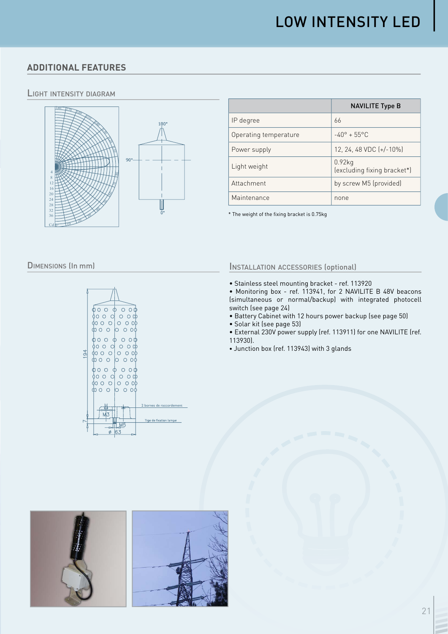## **ADDITIONAL FEATURES**

#### LIGHT INTENSITY DIAGRAM



|                       | <b>NAVILITE Type B</b>                   |  |
|-----------------------|------------------------------------------|--|
| IP degree             | 66                                       |  |
| Operating temperature | $-40^{\circ} + 55^{\circ}$ C             |  |
| Power supply          | 12, 24, 48 VDC $[+/10\%]$                |  |
| Light weight          | $0.92$ kg<br>(excluding fixing bracket*) |  |
| Attachment            | by screw M5 (provided)                   |  |
| Maintenance           | none                                     |  |

\* The weight of the fixing bracket is 0.75kg

#### DIMENSIONS (In mm)



#### INSTALLATION ACCESSORIES (optional)

- Stainless steel mounting bracket ref. 113920
- Monitoring box ref. 113941, for 2 NAVILITE B 48V beacons (simultaneous or normal/backup) with integrated photocell switch (see page 24)
- Battery Cabinet with 12 hours power backup (see page 50)
- Solar kit (see page 53)
- External 230V power supply (ref. 113911) for one NAVILITE (ref. 113930).
- Junction box (ref. 113943) with 3 glands

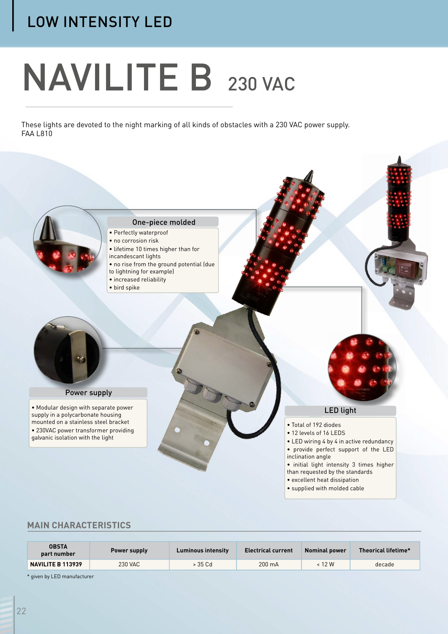# LOW INTENSITY LED

# NAVILITE B 230 VAC

These lights are devoted to the night marking of all kinds of obstacles with a 230 VAC power supply. FAA L810



### **MAIN CHARACTERISTICS**

| <b>OBSTA</b><br>part number | Power supply | <b>Luminous intensity</b> | <b>Electrical current</b> | <b>Nominal power</b> | Theorical lifetime* |
|-----------------------------|--------------|---------------------------|---------------------------|----------------------|---------------------|
| <b>NAVILITE B 113939</b>    | 230 VAC      | > 35 Cd                   | $200 \text{ mA}$          | < 12 W               | decade              |

\* given by LED manufacturer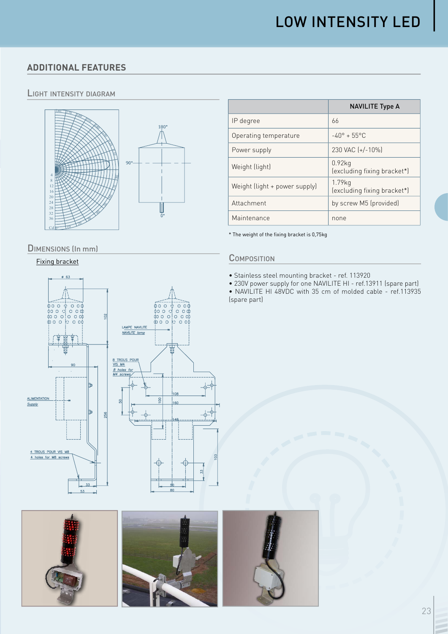## **ADDITIONAL FEATURES**

#### LIGHT INTENSITY DIAGRAM



#### DIMENSIONS (In mm)

#### Fixing bracket





|                               | <b>NAVILITE Type A</b>                   |
|-------------------------------|------------------------------------------|
| IP degree                     | 66                                       |
| Operating temperature         | $-40^{\circ} + 55^{\circ}$ C             |
| Power supply                  | 230 VAC (+/-10%)                         |
| Weight (light)                | $0.92$ kg<br>(excluding fixing bracket*) |
| Weight (light + power supply) | 1.79kg<br>(excluding fixing bracket*)    |
| Attachment                    | by screw M5 (provided)                   |
| Maintenance                   | none                                     |

\* The weight of the fixing bracket is 0,75kg

#### **COMPOSITION**

- Stainless steel mounting bracket ref. 113920
- 230V power supply for one NAVILITE HI ref.13911 (spare part)

• NAVILITE HI 48VDC with 35 cm of molded cable - ref.113935 (spare part)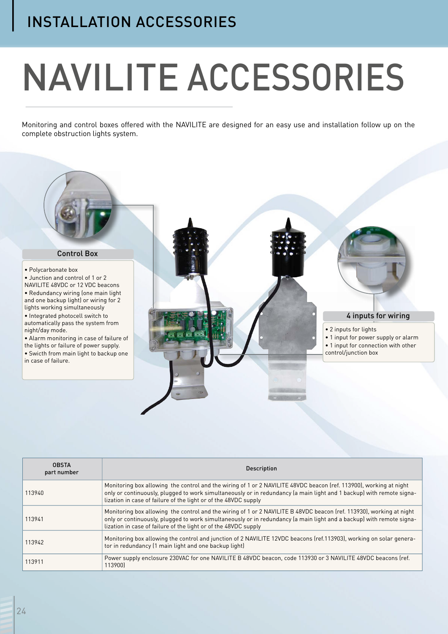# INSTALLATION ACCESSORIES

# NAVILITE ACCESSORIES

Monitoring and control boxes offered with the NAVILITE are designed for an easy use and installation follow up on the complete obstruction lights system.



| <b>OBSTA</b><br>part number | <b>Description</b>                                                                                                                                                                                                                                                                                              |  |  |  |
|-----------------------------|-----------------------------------------------------------------------------------------------------------------------------------------------------------------------------------------------------------------------------------------------------------------------------------------------------------------|--|--|--|
| 113940                      | Monitoring box allowing the control and the wiring of 1 or 2 NAVILITE 48VDC beacon (ref. 113900), working at night<br>only or continuously, plugged to work simultaneously or in redundancy (a main light and 1 backup) with remote signa-<br>lization in case of failure of the light or of the 48VDC supply   |  |  |  |
| 113941                      | Monitoring box allowing the control and the wiring of 1 or 2 NAVILITE B 48VDC beacon (ref. 113930), working at night<br>only or continuously, plugged to work simultaneously or in redundancy (a main light and a backup) with remote signa-<br>lization in case of failure of the light or of the 48VDC supply |  |  |  |
| 113942                      | Monitoring box allowing the control and junction of 2 NAVILITE 12VDC beacons (ref.113903), working on solar genera-<br>tor in redundancy (1 main light and one backup light)                                                                                                                                    |  |  |  |
| 113911                      | Power supply enclosure 230VAC for one NAVILITE B 48VDC beacon, code 113930 or 3 NAVILITE 48VDC beacons (ref.<br>113900)                                                                                                                                                                                         |  |  |  |